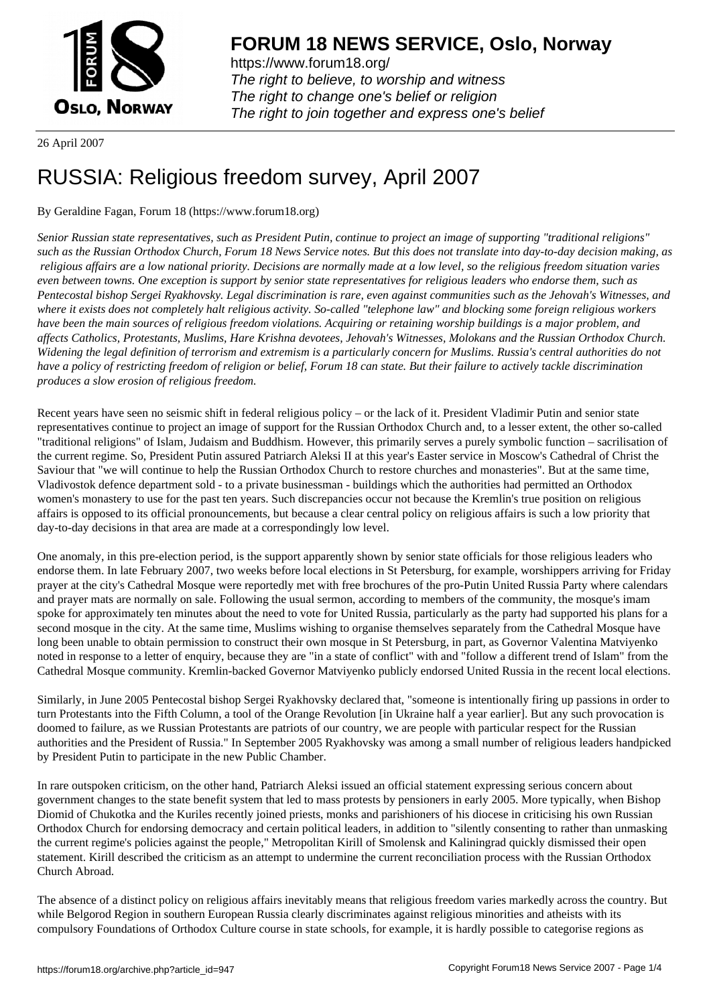

https://www.forum18.org/ The right to believe, to worship and witness The right to change one's belief or religion [The right to join together a](https://www.forum18.org/)nd express one's belief

26 April 2007

## [RUSSIA: Religi](https://www.forum18.org)ous freedom survey, April 2007

## By Geraldine Fagan, Forum 18 (https://www.forum18.org)

*Senior Russian state representatives, such as President Putin, continue to project an image of supporting "traditional religions" such as the Russian Orthodox Church, Forum 18 News Service notes. But this does not translate into day-to-day decision making, as religious affairs are a low national priority. Decisions are normally made at a low level, so the religious freedom situation varies even between towns. One exception is support by senior state representatives for religious leaders who endorse them, such as Pentecostal bishop Sergei Ryakhovsky. Legal discrimination is rare, even against communities such as the Jehovah's Witnesses, and where it exists does not completely halt religious activity. So-called "telephone law" and blocking some foreign religious workers have been the main sources of religious freedom violations. Acquiring or retaining worship buildings is a major problem, and affects Catholics, Protestants, Muslims, Hare Krishna devotees, Jehovah's Witnesses, Molokans and the Russian Orthodox Church. Widening the legal definition of terrorism and extremism is a particularly concern for Muslims. Russia's central authorities do not have a policy of restricting freedom of religion or belief, Forum 18 can state. But their failure to actively tackle discrimination produces a slow erosion of religious freedom.*

Recent years have seen no seismic shift in federal religious policy – or the lack of it. President Vladimir Putin and senior state representatives continue to project an image of support for the Russian Orthodox Church and, to a lesser extent, the other so-called "traditional religions" of Islam, Judaism and Buddhism. However, this primarily serves a purely symbolic function – sacrilisation of the current regime. So, President Putin assured Patriarch Aleksi II at this year's Easter service in Moscow's Cathedral of Christ the Saviour that "we will continue to help the Russian Orthodox Church to restore churches and monasteries". But at the same time, Vladivostok defence department sold - to a private businessman - buildings which the authorities had permitted an Orthodox women's monastery to use for the past ten years. Such discrepancies occur not because the Kremlin's true position on religious affairs is opposed to its official pronouncements, but because a clear central policy on religious affairs is such a low priority that day-to-day decisions in that area are made at a correspondingly low level.

One anomaly, in this pre-election period, is the support apparently shown by senior state officials for those religious leaders who endorse them. In late February 2007, two weeks before local elections in St Petersburg, for example, worshippers arriving for Friday prayer at the city's Cathedral Mosque were reportedly met with free brochures of the pro-Putin United Russia Party where calendars and prayer mats are normally on sale. Following the usual sermon, according to members of the community, the mosque's imam spoke for approximately ten minutes about the need to vote for United Russia, particularly as the party had supported his plans for a second mosque in the city. At the same time, Muslims wishing to organise themselves separately from the Cathedral Mosque have long been unable to obtain permission to construct their own mosque in St Petersburg, in part, as Governor Valentina Matviyenko noted in response to a letter of enquiry, because they are "in a state of conflict" with and "follow a different trend of Islam" from the Cathedral Mosque community. Kremlin-backed Governor Matviyenko publicly endorsed United Russia in the recent local elections.

Similarly, in June 2005 Pentecostal bishop Sergei Ryakhovsky declared that, "someone is intentionally firing up passions in order to turn Protestants into the Fifth Column, a tool of the Orange Revolution [in Ukraine half a year earlier]. But any such provocation is doomed to failure, as we Russian Protestants are patriots of our country, we are people with particular respect for the Russian authorities and the President of Russia." In September 2005 Ryakhovsky was among a small number of religious leaders handpicked by President Putin to participate in the new Public Chamber.

In rare outspoken criticism, on the other hand, Patriarch Aleksi issued an official statement expressing serious concern about government changes to the state benefit system that led to mass protests by pensioners in early 2005. More typically, when Bishop Diomid of Chukotka and the Kuriles recently joined priests, monks and parishioners of his diocese in criticising his own Russian Orthodox Church for endorsing democracy and certain political leaders, in addition to "silently consenting to rather than unmasking the current regime's policies against the people," Metropolitan Kirill of Smolensk and Kaliningrad quickly dismissed their open statement. Kirill described the criticism as an attempt to undermine the current reconciliation process with the Russian Orthodox Church Abroad.

The absence of a distinct policy on religious affairs inevitably means that religious freedom varies markedly across the country. But while Belgorod Region in southern European Russia clearly discriminates against religious minorities and atheists with its compulsory Foundations of Orthodox Culture course in state schools, for example, it is hardly possible to categorise regions as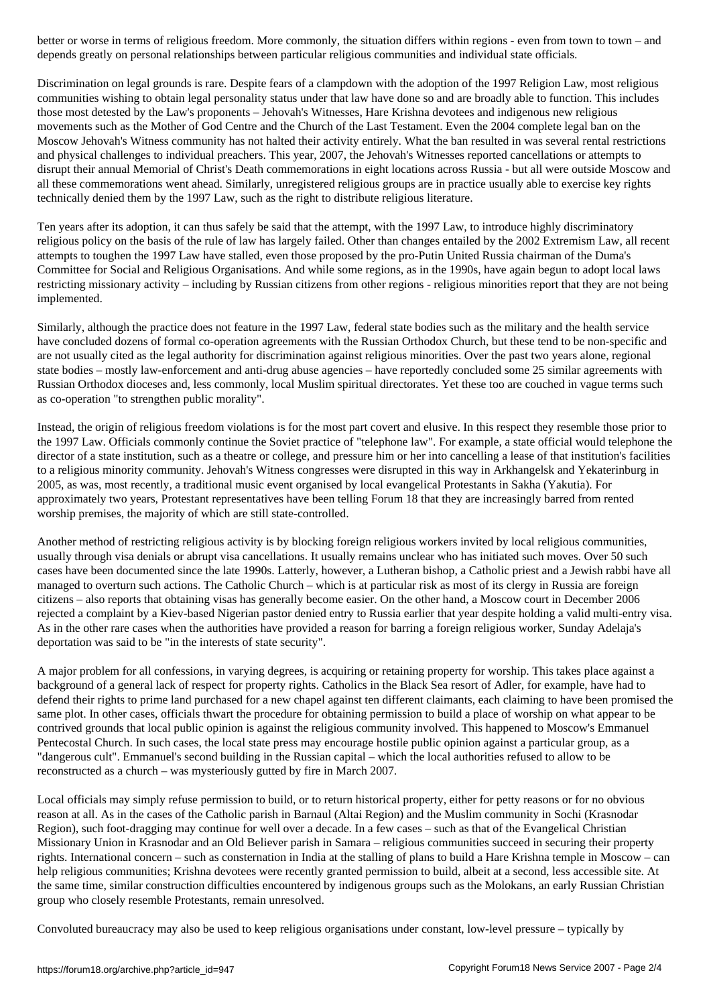depends greatly on personal relationships between particular religious communities and individual state officials.

Discrimination on legal grounds is rare. Despite fears of a clampdown with the adoption of the 1997 Religion Law, most religious communities wishing to obtain legal personality status under that law have done so and are broadly able to function. This includes those most detested by the Law's proponents – Jehovah's Witnesses, Hare Krishna devotees and indigenous new religious movements such as the Mother of God Centre and the Church of the Last Testament. Even the 2004 complete legal ban on the Moscow Jehovah's Witness community has not halted their activity entirely. What the ban resulted in was several rental restrictions and physical challenges to individual preachers. This year, 2007, the Jehovah's Witnesses reported cancellations or attempts to disrupt their annual Memorial of Christ's Death commemorations in eight locations across Russia - but all were outside Moscow and all these commemorations went ahead. Similarly, unregistered religious groups are in practice usually able to exercise key rights technically denied them by the 1997 Law, such as the right to distribute religious literature.

Ten years after its adoption, it can thus safely be said that the attempt, with the 1997 Law, to introduce highly discriminatory religious policy on the basis of the rule of law has largely failed. Other than changes entailed by the 2002 Extremism Law, all recent attempts to toughen the 1997 Law have stalled, even those proposed by the pro-Putin United Russia chairman of the Duma's Committee for Social and Religious Organisations. And while some regions, as in the 1990s, have again begun to adopt local laws restricting missionary activity – including by Russian citizens from other regions - religious minorities report that they are not being implemented.

Similarly, although the practice does not feature in the 1997 Law, federal state bodies such as the military and the health service have concluded dozens of formal co-operation agreements with the Russian Orthodox Church, but these tend to be non-specific and are not usually cited as the legal authority for discrimination against religious minorities. Over the past two years alone, regional state bodies – mostly law-enforcement and anti-drug abuse agencies – have reportedly concluded some 25 similar agreements with Russian Orthodox dioceses and, less commonly, local Muslim spiritual directorates. Yet these too are couched in vague terms such as co-operation "to strengthen public morality".

Instead, the origin of religious freedom violations is for the most part covert and elusive. In this respect they resemble those prior to the 1997 Law. Officials commonly continue the Soviet practice of "telephone law". For example, a state official would telephone the director of a state institution, such as a theatre or college, and pressure him or her into cancelling a lease of that institution's facilities to a religious minority community. Jehovah's Witness congresses were disrupted in this way in Arkhangelsk and Yekaterinburg in 2005, as was, most recently, a traditional music event organised by local evangelical Protestants in Sakha (Yakutia). For approximately two years, Protestant representatives have been telling Forum 18 that they are increasingly barred from rented worship premises, the majority of which are still state-controlled.

Another method of restricting religious activity is by blocking foreign religious workers invited by local religious communities, usually through visa denials or abrupt visa cancellations. It usually remains unclear who has initiated such moves. Over 50 such cases have been documented since the late 1990s. Latterly, however, a Lutheran bishop, a Catholic priest and a Jewish rabbi have all managed to overturn such actions. The Catholic Church – which is at particular risk as most of its clergy in Russia are foreign citizens – also reports that obtaining visas has generally become easier. On the other hand, a Moscow court in December 2006 rejected a complaint by a Kiev-based Nigerian pastor denied entry to Russia earlier that year despite holding a valid multi-entry visa. As in the other rare cases when the authorities have provided a reason for barring a foreign religious worker, Sunday Adelaja's deportation was said to be "in the interests of state security".

A major problem for all confessions, in varying degrees, is acquiring or retaining property for worship. This takes place against a background of a general lack of respect for property rights. Catholics in the Black Sea resort of Adler, for example, have had to defend their rights to prime land purchased for a new chapel against ten different claimants, each claiming to have been promised the same plot. In other cases, officials thwart the procedure for obtaining permission to build a place of worship on what appear to be contrived grounds that local public opinion is against the religious community involved. This happened to Moscow's Emmanuel Pentecostal Church. In such cases, the local state press may encourage hostile public opinion against a particular group, as a "dangerous cult". Emmanuel's second building in the Russian capital – which the local authorities refused to allow to be reconstructed as a church – was mysteriously gutted by fire in March 2007.

Local officials may simply refuse permission to build, or to return historical property, either for petty reasons or for no obvious reason at all. As in the cases of the Catholic parish in Barnaul (Altai Region) and the Muslim community in Sochi (Krasnodar Region), such foot-dragging may continue for well over a decade. In a few cases – such as that of the Evangelical Christian Missionary Union in Krasnodar and an Old Believer parish in Samara – religious communities succeed in securing their property rights. International concern – such as consternation in India at the stalling of plans to build a Hare Krishna temple in Moscow – can help religious communities; Krishna devotees were recently granted permission to build, albeit at a second, less accessible site. At the same time, similar construction difficulties encountered by indigenous groups such as the Molokans, an early Russian Christian group who closely resemble Protestants, remain unresolved.

Convoluted bureaucracy may also be used to keep religious organisations under constant, low-level pressure – typically by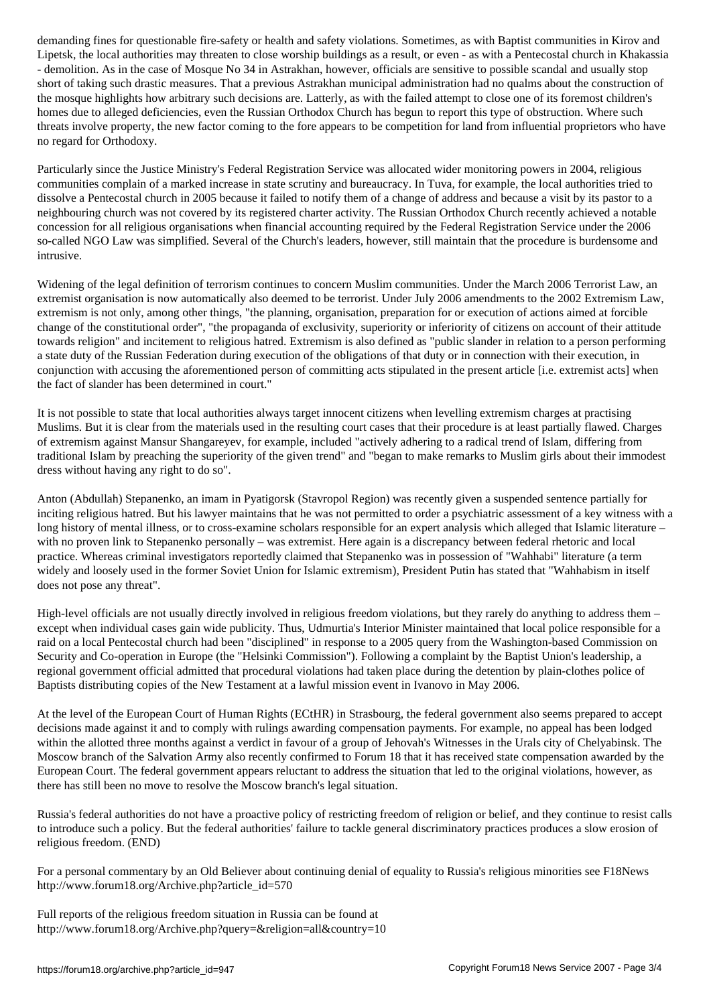. The local authorities may threaten to close worship buildings as a result, or even  $\mu$ - demolition. As in the case of Mosque No 34 in Astrakhan, however, officials are sensitive to possible scandal and usually stop short of taking such drastic measures. That a previous Astrakhan municipal administration had no qualms about the construction of the mosque highlights how arbitrary such decisions are. Latterly, as with the failed attempt to close one of its foremost children's homes due to alleged deficiencies, even the Russian Orthodox Church has begun to report this type of obstruction. Where such threats involve property, the new factor coming to the fore appears to be competition for land from influential proprietors who have no regard for Orthodoxy.

Particularly since the Justice Ministry's Federal Registration Service was allocated wider monitoring powers in 2004, religious communities complain of a marked increase in state scrutiny and bureaucracy. In Tuva, for example, the local authorities tried to dissolve a Pentecostal church in 2005 because it failed to notify them of a change of address and because a visit by its pastor to a neighbouring church was not covered by its registered charter activity. The Russian Orthodox Church recently achieved a notable concession for all religious organisations when financial accounting required by the Federal Registration Service under the 2006 so-called NGO Law was simplified. Several of the Church's leaders, however, still maintain that the procedure is burdensome and intrusive.

Widening of the legal definition of terrorism continues to concern Muslim communities. Under the March 2006 Terrorist Law, an extremist organisation is now automatically also deemed to be terrorist. Under July 2006 amendments to the 2002 Extremism Law, extremism is not only, among other things, "the planning, organisation, preparation for or execution of actions aimed at forcible change of the constitutional order", "the propaganda of exclusivity, superiority or inferiority of citizens on account of their attitude towards religion" and incitement to religious hatred. Extremism is also defined as "public slander in relation to a person performing a state duty of the Russian Federation during execution of the obligations of that duty or in connection with their execution, in conjunction with accusing the aforementioned person of committing acts stipulated in the present article [i.e. extremist acts] when the fact of slander has been determined in court."

It is not possible to state that local authorities always target innocent citizens when levelling extremism charges at practising Muslims. But it is clear from the materials used in the resulting court cases that their procedure is at least partially flawed. Charges of extremism against Mansur Shangareyev, for example, included "actively adhering to a radical trend of Islam, differing from traditional Islam by preaching the superiority of the given trend" and "began to make remarks to Muslim girls about their immodest dress without having any right to do so".

Anton (Abdullah) Stepanenko, an imam in Pyatigorsk (Stavropol Region) was recently given a suspended sentence partially for inciting religious hatred. But his lawyer maintains that he was not permitted to order a psychiatric assessment of a key witness with a long history of mental illness, or to cross-examine scholars responsible for an expert analysis which alleged that Islamic literature – with no proven link to Stepanenko personally – was extremist. Here again is a discrepancy between federal rhetoric and local practice. Whereas criminal investigators reportedly claimed that Stepanenko was in possession of "Wahhabi" literature (a term widely and loosely used in the former Soviet Union for Islamic extremism), President Putin has stated that "Wahhabism in itself does not pose any threat".

High-level officials are not usually directly involved in religious freedom violations, but they rarely do anything to address them – except when individual cases gain wide publicity. Thus, Udmurtia's Interior Minister maintained that local police responsible for a raid on a local Pentecostal church had been "disciplined" in response to a 2005 query from the Washington-based Commission on Security and Co-operation in Europe (the "Helsinki Commission"). Following a complaint by the Baptist Union's leadership, a regional government official admitted that procedural violations had taken place during the detention by plain-clothes police of Baptists distributing copies of the New Testament at a lawful mission event in Ivanovo in May 2006.

At the level of the European Court of Human Rights (ECtHR) in Strasbourg, the federal government also seems prepared to accept decisions made against it and to comply with rulings awarding compensation payments. For example, no appeal has been lodged within the allotted three months against a verdict in favour of a group of Jehovah's Witnesses in the Urals city of Chelyabinsk. The Moscow branch of the Salvation Army also recently confirmed to Forum 18 that it has received state compensation awarded by the European Court. The federal government appears reluctant to address the situation that led to the original violations, however, as there has still been no move to resolve the Moscow branch's legal situation.

Russia's federal authorities do not have a proactive policy of restricting freedom of religion or belief, and they continue to resist calls to introduce such a policy. But the federal authorities' failure to tackle general discriminatory practices produces a slow erosion of religious freedom. (END)

For a personal commentary by an Old Believer about continuing denial of equality to Russia's religious minorities see F18News http://www.forum18.org/Archive.php?article\_id=570

Full reports of the religious freedom situation in Russia can be found at http://www.forum18.org/Archive.php?query=&religion=all&country=10